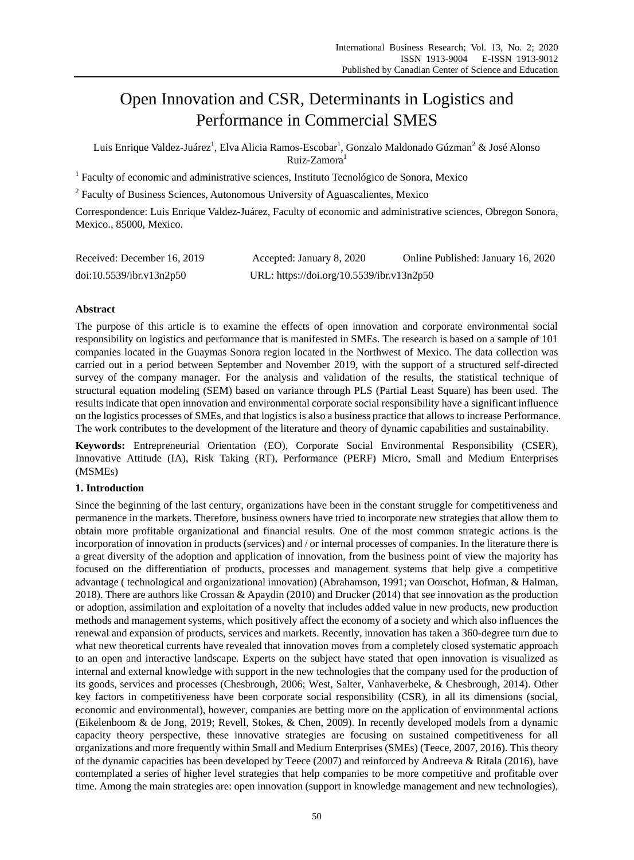# Open Innovation and CSR, Determinants in Logistics and Performance in Commercial SMES

Luis Enrique Valdez-Ju árez<sup>1</sup>, Elva Alicia Ramos-Escobar<sup>1</sup>, Gonzalo Maldonado Gúzman<sup>2</sup> & Jos éAlonso Ruiz-Zamora<sup>1</sup>

<sup>1</sup> Faculty of economic and administrative sciences, Instituto Tecnológico de Sonora, Mexico

<sup>2</sup> Faculty of Business Sciences, Autonomous University of Aguascalientes, Mexico

Correspondence: Luis Enrique Valdez-Juárez, Faculty of economic and administrative sciences, Obregon Sonora, Mexico., 85000, Mexico.

| Received: December 16, 2019 | Accepted: January 8, 2020                 | Online Published: January 16, 2020 |
|-----------------------------|-------------------------------------------|------------------------------------|
| doi:10.5539/ibr.v13n2p50    | URL: https://doi.org/10.5539/ibr.v13n2p50 |                                    |

## **Abstract**

The purpose of this article is to examine the effects of open innovation and corporate environmental social responsibility on logistics and performance that is manifested in SMEs. The research is based on a sample of 101 companies located in the Guaymas Sonora region located in the Northwest of Mexico. The data collection was carried out in a period between September and November 2019, with the support of a structured self-directed survey of the company manager. For the analysis and validation of the results, the statistical technique of structural equation modeling (SEM) based on variance through PLS (Partial Least Square) has been used. The results indicate that open innovation and environmental corporate social responsibility have a significant influence on the logistics processes of SMEs, and that logistics is also a business practice that allows to increase Performance. The work contributes to the development of the literature and theory of dynamic capabilities and sustainability.

**Keywords:** Entrepreneurial Orientation (EO), Corporate Social Environmental Responsibility (CSER), Innovative Attitude (IA), Risk Taking (RT), Performance (PERF) Micro, Small and Medium Enterprises (MSMEs)

## **1. Introduction**

Since the beginning of the last century, organizations have been in the constant struggle for competitiveness and permanence in the markets. Therefore, business owners have tried to incorporate new strategies that allow them to obtain more profitable organizational and financial results. One of the most common strategic actions is the incorporation of innovation in products (services) and / or internal processes of companies. In the literature there is a great diversity of the adoption and application of innovation, from the business point of view the majority has focused on the differentiation of products, processes and management systems that help give a competitive advantage ( technological and organizational innovation) (Abrahamson, 1991; van Oorschot, Hofman, & Halman, 2018). There are authors like Crossan & Apaydin (2010) and Drucker (2014) that see innovation as the production or adoption, assimilation and exploitation of a novelty that includes added value in new products, new production methods and management systems, which positively affect the economy of a society and which also influences the renewal and expansion of products, services and markets. Recently, innovation has taken a 360-degree turn due to what new theoretical currents have revealed that innovation moves from a completely closed systematic approach to an open and interactive landscape. Experts on the subject have stated that open innovation is visualized as internal and external knowledge with support in the new technologies that the company used for the production of its goods, services and processes (Chesbrough, 2006; West, Salter, Vanhaverbeke, & Chesbrough, 2014). Other key factors in competitiveness have been corporate social responsibility (CSR), in all its dimensions (social, economic and environmental), however, companies are betting more on the application of environmental actions (Eikelenboom & de Jong, 2019; Revell, Stokes, & Chen, 2009). In recently developed models from a dynamic capacity theory perspective, these innovative strategies are focusing on sustained competitiveness for all organizations and more frequently within Small and Medium Enterprises (SMEs) (Teece, 2007, 2016). This theory of the dynamic capacities has been developed by Teece (2007) and reinforced by Andreeva & Ritala (2016), have contemplated a series of higher level strategies that help companies to be more competitive and profitable over time. Among the main strategies are: open innovation (support in knowledge management and new technologies),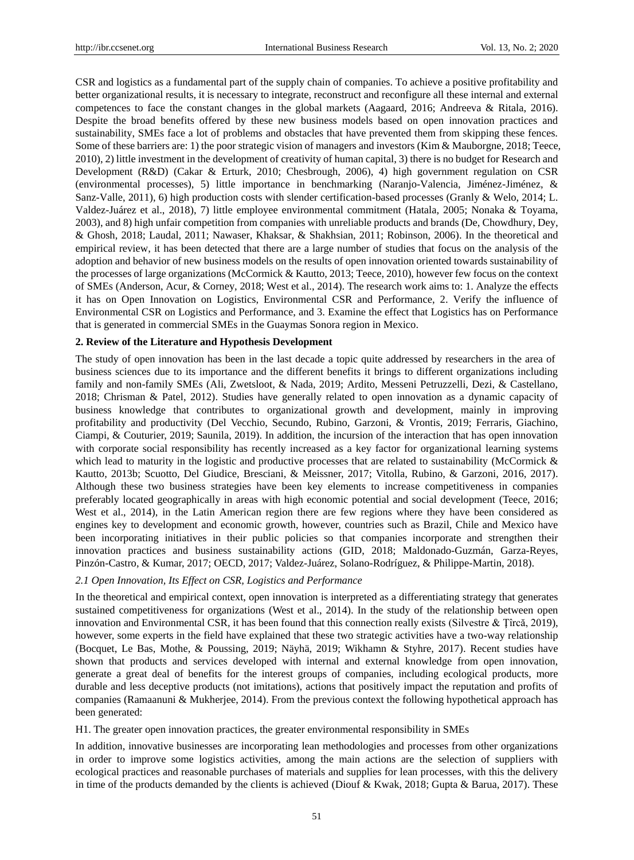CSR and logistics as a fundamental part of the supply chain of companies. To achieve a positive profitability and better organizational results, it is necessary to integrate, reconstruct and reconfigure all these internal and external competences to face the constant changes in the global markets (Aagaard, 2016; Andreeva & Ritala, 2016). Despite the broad benefits offered by these new business models based on open innovation practices and sustainability, SMEs face a lot of problems and obstacles that have prevented them from skipping these fences. Some of these barriers are: 1) the poor strategic vision of managers and investors (Kim & Mauborgne, 2018; Teece, 2010), 2) little investment in the development of creativity of human capital, 3) there is no budget for Research and Development (R&D) (Cakar & Erturk, 2010; Chesbrough, 2006), 4) high government regulation on CSR (environmental processes), 5) little importance in benchmarking (Naranjo-Valencia, Jiménez-Jiménez, & Sanz-Valle, 2011), 6) high production costs with slender certification-based processes (Granly & Welo, 2014; L. Valdez-Juárez et al., 2018), 7) little employee environmental commitment (Hatala, 2005; Nonaka & Toyama, 2003), and 8) high unfair competition from companies with unreliable products and brands (De, Chowdhury, Dey, & Ghosh, 2018; Laudal, 2011; Nawaser, Khaksar, & Shakhsian, 2011; Robinson, 2006). In the theoretical and empirical review, it has been detected that there are a large number of studies that focus on the analysis of the adoption and behavior of new business models on the results of open innovation oriented towards sustainability of the processes of large organizations (McCormick & Kautto, 2013; Teece, 2010), however few focus on the context of SMEs (Anderson, Acur, & Corney, 2018; West et al., 2014). The research work aims to: 1. Analyze the effects it has on Open Innovation on Logistics, Environmental CSR and Performance, 2. Verify the influence of Environmental CSR on Logistics and Performance, and 3. Examine the effect that Logistics has on Performance that is generated in commercial SMEs in the Guaymas Sonora region in Mexico.

## **2. Review of the Literature and Hypothesis Development**

The study of open innovation has been in the last decade a topic quite addressed by researchers in the area of business sciences due to its importance and the different benefits it brings to different organizations including family and non-family SMEs (Ali, Zwetsloot, & Nada, 2019; Ardito, Messeni Petruzzelli, Dezi, & Castellano, 2018; Chrisman & Patel, 2012). Studies have generally related to open innovation as a dynamic capacity of business knowledge that contributes to organizational growth and development, mainly in improving profitability and productivity (Del Vecchio, Secundo, Rubino, Garzoni, & Vrontis, 2019; Ferraris, Giachino, Ciampi, & Couturier, 2019; Saunila, 2019). In addition, the incursion of the interaction that has open innovation with corporate social responsibility has recently increased as a key factor for organizational learning systems which lead to maturity in the logistic and productive processes that are related to sustainability (McCormick & Kautto, 2013b; Scuotto, Del Giudice, Bresciani, & Meissner, 2017; Vitolla, Rubino, & Garzoni, 2016, 2017). Although these two business strategies have been key elements to increase competitiveness in companies preferably located geographically in areas with high economic potential and social development (Teece, 2016; West et al., 2014), in the Latin American region there are few regions where they have been considered as engines key to development and economic growth, however, countries such as Brazil, Chile and Mexico have been incorporating initiatives in their public policies so that companies incorporate and strengthen their innovation practices and business sustainability actions (GID, 2018; Maldonado-Guzmán, Garza-Reyes, Pinz án-Castro, & Kumar, 2017; OECD, 2017; Valdez-Ju árez, Solano-Rodr guez, & Philippe-Martin, 2018).

## *2.1 Open Innovation, Its Effect on CSR, Logistics and Performance*

In the theoretical and empirical context, open innovation is interpreted as a differentiating strategy that generates sustained competitiveness for organizations (West et al., 2014). In the study of the relationship between open innovation and Environmental CSR, it has been found that this connection really exists (Silvestre & Tîrcă, 2019), however, some experts in the field have explained that these two strategic activities have a two-way relationship (Bocquet, Le Bas, Mothe, & Poussing, 2019; Näyhä, 2019; Wikhamn & Styhre, 2017). Recent studies have shown that products and services developed with internal and external knowledge from open innovation, generate a great deal of benefits for the interest groups of companies, including ecological products, more durable and less deceptive products (not imitations), actions that positively impact the reputation and profits of companies (Ramaanuni & Mukherjee, 2014). From the previous context the following hypothetical approach has been generated:

H1. The greater open innovation practices, the greater environmental responsibility in SMEs

In addition, innovative businesses are incorporating lean methodologies and processes from other organizations in order to improve some logistics activities, among the main actions are the selection of suppliers with ecological practices and reasonable purchases of materials and supplies for lean processes, with this the delivery in time of the products demanded by the clients is achieved (Diouf & Kwak, 2018; Gupta & Barua, 2017). These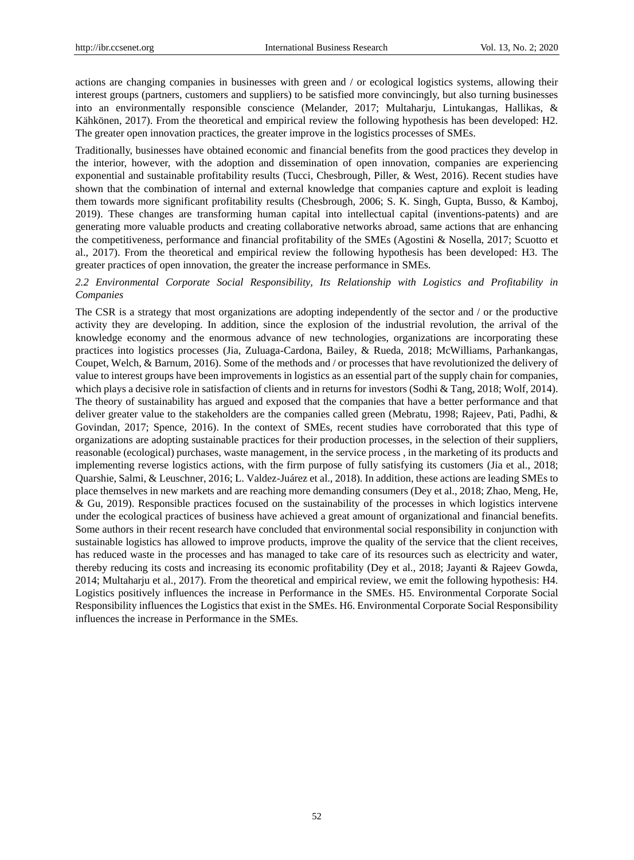actions are changing companies in businesses with green and / or ecological logistics systems, allowing their interest groups (partners, customers and suppliers) to be satisfied more convincingly, but also turning businesses into an environmentally responsible conscience (Melander, 2017; Multaharju, Lintukangas, Hallikas, & Kähkönen, 2017). From the theoretical and empirical review the following hypothesis has been developed: H2. The greater open innovation practices, the greater improve in the logistics processes of SMEs.

Traditionally, businesses have obtained economic and financial benefits from the good practices they develop in the interior, however, with the adoption and dissemination of open innovation, companies are experiencing exponential and sustainable profitability results (Tucci, Chesbrough, Piller, & West, 2016). Recent studies have shown that the combination of internal and external knowledge that companies capture and exploit is leading them towards more significant profitability results (Chesbrough, 2006; S. K. Singh, Gupta, Busso, & Kamboj, 2019). These changes are transforming human capital into intellectual capital (inventions-patents) and are generating more valuable products and creating collaborative networks abroad, same actions that are enhancing the competitiveness, performance and financial profitability of the SMEs (Agostini & Nosella, 2017; Scuotto et al., 2017). From the theoretical and empirical review the following hypothesis has been developed: H3. The greater practices of open innovation, the greater the increase performance in SMEs.

## *2.2 Environmental Corporate Social Responsibility, Its Relationship with Logistics and Profitability in Companies*

The CSR is a strategy that most organizations are adopting independently of the sector and / or the productive activity they are developing. In addition, since the explosion of the industrial revolution, the arrival of the knowledge economy and the enormous advance of new technologies, organizations are incorporating these practices into logistics processes (Jia, Zuluaga-Cardona, Bailey, & Rueda, 2018; McWilliams, Parhankangas, Coupet, Welch, & Barnum, 2016). Some of the methods and / or processes that have revolutionized the delivery of value to interest groups have been improvements in logistics as an essential part of the supply chain for companies, which plays a decisive role in satisfaction of clients and in returns for investors (Sodhi & Tang, 2018; Wolf, 2014). The theory of sustainability has argued and exposed that the companies that have a better performance and that deliver greater value to the stakeholders are the companies called green (Mebratu, 1998; Rajeev, Pati, Padhi, & Govindan, 2017; Spence, 2016). In the context of SMEs, recent studies have corroborated that this type of organizations are adopting sustainable practices for their production processes, in the selection of their suppliers, reasonable (ecological) purchases, waste management, in the service process , in the marketing of its products and implementing reverse logistics actions, with the firm purpose of fully satisfying its customers (Jia et al., 2018; Quarshie, Salmi, & Leuschner, 2016; L. Valdez-Juárez et al., 2018). In addition, these actions are leading SMEs to place themselves in new markets and are reaching more demanding consumers (Dey et al., 2018; Zhao, Meng, He, & Gu, 2019). Responsible practices focused on the sustainability of the processes in which logistics intervene under the ecological practices of business have achieved a great amount of organizational and financial benefits. Some authors in their recent research have concluded that environmental social responsibility in conjunction with sustainable logistics has allowed to improve products, improve the quality of the service that the client receives, has reduced waste in the processes and has managed to take care of its resources such as electricity and water, thereby reducing its costs and increasing its economic profitability (Dey et al., 2018; Jayanti & Rajeev Gowda, 2014; Multaharju et al., 2017). From the theoretical and empirical review, we emit the following hypothesis: H4. Logistics positively influences the increase in Performance in the SMEs. H5. Environmental Corporate Social Responsibility influences the Logistics that exist in the SMEs. H6. Environmental Corporate Social Responsibility influences the increase in Performance in the SMEs.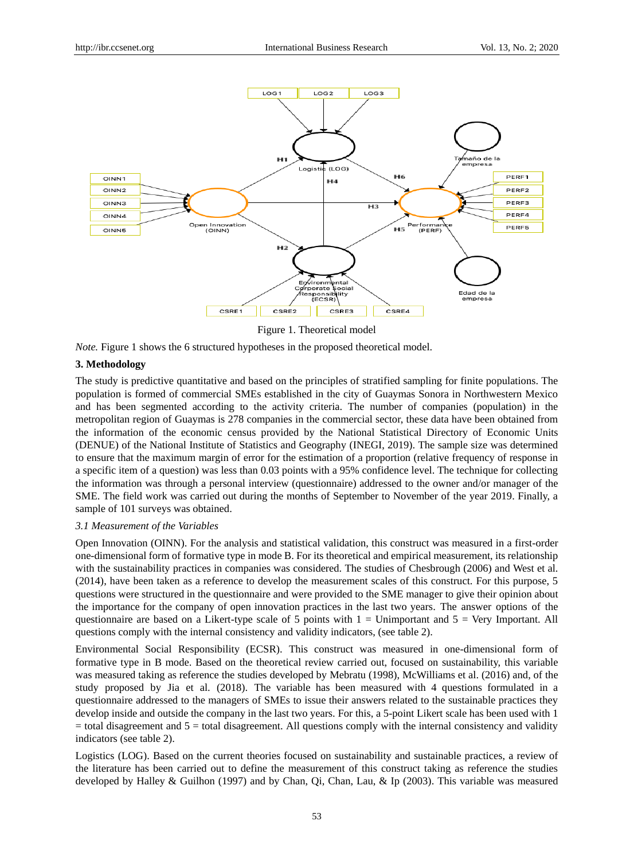

Figure 1. Theoretical model

*Note.* Figure 1 shows the 6 structured hypotheses in the proposed theoretical model.

# **3. Methodology**

The study is predictive quantitative and based on the principles of stratified sampling for finite populations. The population is formed of commercial SMEs established in the city of Guaymas Sonora in Northwestern Mexico and has been segmented according to the activity criteria. The number of companies (population) in the metropolitan region of Guaymas is 278 companies in the commercial sector, these data have been obtained from the information of the economic census provided by the National Statistical Directory of Economic Units (DENUE) of the National Institute of Statistics and Geography (INEGI, 2019). The sample size was determined to ensure that the maximum margin of error for the estimation of a proportion (relative frequency of response in a specific item of a question) was less than 0.03 points with a 95% confidence level. The technique for collecting the information was through a personal interview (questionnaire) addressed to the owner and/or manager of the SME. The field work was carried out during the months of September to November of the year 2019. Finally, a sample of 101 surveys was obtained.

## *3.1 Measurement of the Variables*

Open Innovation (OINN). For the analysis and statistical validation, this construct was measured in a first-order one-dimensional form of formative type in mode B. For its theoretical and empirical measurement, its relationship with the sustainability practices in companies was considered. The studies of Chesbrough (2006) and West et al. (2014), have been taken as a reference to develop the measurement scales of this construct. For this purpose, 5 questions were structured in the questionnaire and were provided to the SME manager to give their opinion about the importance for the company of open innovation practices in the last two years. The answer options of the questionnaire are based on a Likert-type scale of 5 points with  $1 =$  Unimportant and  $5 =$  Very Important. All questions comply with the internal consistency and validity indicators, (see table 2).

Environmental Social Responsibility (ECSR). This construct was measured in one-dimensional form of formative type in B mode. Based on the theoretical review carried out, focused on sustainability, this variable was measured taking as reference the studies developed by Mebratu (1998), McWilliams et al. (2016) and, of the study proposed by Jia et al. (2018). The variable has been measured with 4 questions formulated in a questionnaire addressed to the managers of SMEs to issue their answers related to the sustainable practices they develop inside and outside the company in the last two years. For this, a 5-point Likert scale has been used with 1  $=$  total disagreement and  $5 =$  total disagreement. All questions comply with the internal consistency and validity indicators (see table 2).

Logistics (LOG). Based on the current theories focused on sustainability and sustainable practices, a review of the literature has been carried out to define the measurement of this construct taking as reference the studies developed by Halley & Guilhon (1997) and by Chan, Qi, Chan, Lau, & Ip (2003). This variable was measured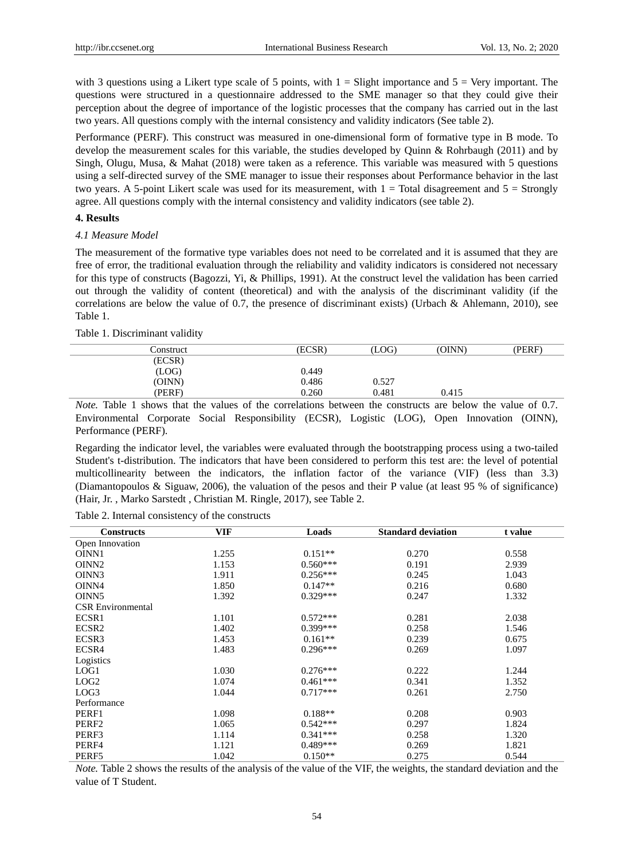with 3 questions using a Likert type scale of 5 points, with  $1 =$  Slight importance and  $5 =$  Very important. The questions were structured in a questionnaire addressed to the SME manager so that they could give their perception about the degree of importance of the logistic processes that the company has carried out in the last two years. All questions comply with the internal consistency and validity indicators (See table 2).

Performance (PERF). This construct was measured in one-dimensional form of formative type in B mode. To develop the measurement scales for this variable, the studies developed by Quinn & Rohrbaugh (2011) and by Singh, Olugu, Musa, & Mahat (2018) were taken as a reference. This variable was measured with 5 questions using a self-directed survey of the SME manager to issue their responses about Performance behavior in the last two years. A 5-point Likert scale was used for its measurement, with  $1 =$  Total disagreement and  $5 =$  Strongly agree. All questions comply with the internal consistency and validity indicators (see table 2).

# **4. Results**

#### *4.1 Measure Model*

The measurement of the formative type variables does not need to be correlated and it is assumed that they are free of error, the traditional evaluation through the reliability and validity indicators is considered not necessary for this type of constructs (Bagozzi, Yi, & Phillips, 1991). At the construct level the validation has been carried out through the validity of content (theoretical) and with the analysis of the discriminant validity (if the correlations are below the value of 0.7, the presence of discriminant exists) (Urbach & Ahlemann, 2010), see Table 1.

#### Table 1. Discriminant validity

| Construct | ECSR) | (LOG) | (OINN) | (PERF) |
|-----------|-------|-------|--------|--------|
| (ECSR)    |       |       |        |        |
| (LOG)     | 0.449 |       |        |        |
| (OINN)    | 0.486 | 0.527 |        |        |
| (PERF)    | 0.260 | 0.481 | 0.415  |        |
|           |       |       |        |        |

*Note.* Table 1 shows that the values of the correlations between the constructs are below the value of 0.7. Environmental Corporate Social Responsibility (ECSR), Logistic (LOG), Open Innovation (OINN), Performance (PERF).

Regarding the indicator level, the variables were evaluated through the bootstrapping process using a two-tailed Student's t-distribution. The indicators that have been considered to perform this test are: the level of potential multicollinearity between the indicators, the inflation factor of the variance (VIF) (less than 3.3) (Diamantopoulos & Siguaw, 2006), the valuation of the pesos and their P value (at least 95 % of significance) (Hair, Jr. , Marko Sarstedt , Christian M. Ringle, 2017), see Table 2.

| Table 2. Internal consistency of the constructs |  |
|-------------------------------------------------|--|
|-------------------------------------------------|--|

| <b>Constructs</b>        | <b>VIF</b> | Loads      | <b>Standard deviation</b> | t value |  |
|--------------------------|------------|------------|---------------------------|---------|--|
| Open Innovation          |            |            |                           |         |  |
| OINN1                    | 1.255      | $0.151**$  | 0.270                     | 0.558   |  |
| OINN <sub>2</sub>        | 1.153      | $0.560***$ | 0.191                     | 2.939   |  |
| OINN3                    | 1.911      | $0.256***$ | 0.245                     | 1.043   |  |
| OINN4                    | 1.850      | $0.147**$  | 0.216                     | 0.680   |  |
| OINN <sub>5</sub>        | 1.392      | $0.329***$ | 0.247                     | 1.332   |  |
| <b>CSR Environmental</b> |            |            |                           |         |  |
| ECSR1                    | 1.101      | $0.572***$ | 0.281                     | 2.038   |  |
| ECSR <sub>2</sub>        | 1.402      | $0.399***$ | 0.258                     | 1.546   |  |
| ECSR3                    | 1.453      | $0.161**$  | 0.239                     | 0.675   |  |
| ECSR4                    | 1.483      | $0.296***$ | 0.269                     | 1.097   |  |
| Logistics                |            |            |                           |         |  |
| LOG <sub>1</sub>         | 1.030      | $0.276***$ | 0.222                     | 1.244   |  |
| LOG <sub>2</sub>         | 1.074      | $0.461***$ | 0.341                     | 1.352   |  |
| LOG3                     | 1.044      | $0.717***$ | 0.261                     | 2.750   |  |
| Performance              |            |            |                           |         |  |
| PERF1                    | 1.098      | $0.188**$  | 0.208                     | 0.903   |  |
| PERF <sub>2</sub>        | 1.065      | $0.542***$ | 0.297                     | 1.824   |  |
| PERF3                    | 1.114      | $0.341***$ | 0.258                     | 1.320   |  |
| PERF4                    | 1.121      | $0.489***$ | 0.269                     | 1.821   |  |
| PERF5                    | 1.042      | $0.150**$  | 0.275                     | 0.544   |  |

*Note.* Table 2 shows the results of the analysis of the value of the VIF, the weights, the standard deviation and the value of T Student.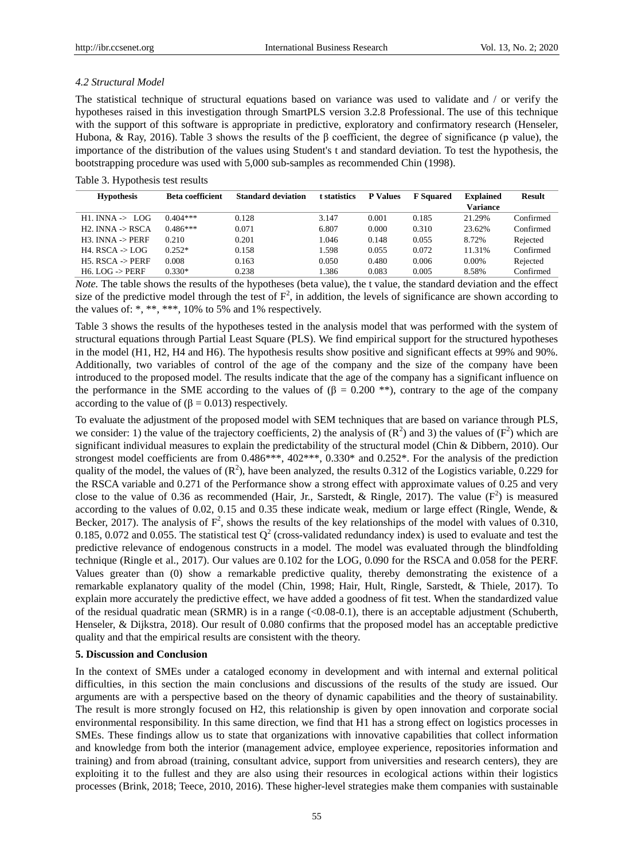## *4.2 Structural Model*

The statistical technique of structural equations based on variance was used to validate and / or verify the hypotheses raised in this investigation through SmartPLS version 3.2.8 Professional. The use of this technique with the support of this software is appropriate in predictive, exploratory and confirmatory research (Henseler, Hubona, & Ray, 2016). Table 3 shows the results of the β coefficient, the degree of significance (p value), the importance of the distribution of the values using Student's t and standard deviation. To test the hypothesis, the bootstrapping procedure was used with 5,000 sub-samples as recommended Chin (1998).

Table 3. Hypothesis test results

| <b>Hypothesis</b>              | <b>Beta coefficient</b> | <b>Standard deviation</b> | t statistics | <b>P</b> Values | <b>F</b> Squared | <b>Explained</b> | <b>Result</b> |
|--------------------------------|-------------------------|---------------------------|--------------|-----------------|------------------|------------------|---------------|
|                                |                         |                           |              |                 |                  | <b>Variance</b>  |               |
| $H1$ . INNA $\rightarrow$ LOG  | $0.404***$              | 0.128                     | 3.147        | 0.001           | 0.185            | 21.29%           | Confirmed     |
| $H2$ . INNA $\rightarrow$ RSCA | $0.486***$              | 0.071                     | 6.807        | 0.000           | 0.310            | 23.62%           | Confirmed     |
| $H3.$ INNA $\rightarrow$ PERF  | 0.210                   | 0.201                     | 1.046        | 0.148           | 0.055            | 8.72%            | Rejected      |
| $H4. RSCA \rightarrow LOG$     | $0.252*$                | 0.158                     | 1.598        | 0.055           | 0.072            | 11.31%           | Confirmed     |
| $H5. RSCA \rightarrow PERF$    | 0.008                   | 0.163                     | 0.050        | 0.480           | 0.006            | 0.00%            | Rejected      |
| $H6.$ LOG $\rightarrow$ PERF   | $0.330*$                | 0.238                     | 1.386        | 0.083           | 0.005            | 8.58%            | Confirmed     |

*Note*. The table shows the results of the hypotheses (beta value), the t value, the standard deviation and the effect size of the predictive model through the test of  $F^2$ , in addition, the levels of significance are shown according to the values of: \*, \*\*, \*\*\*, 10% to 5% and 1% respectively.

Table 3 shows the results of the hypotheses tested in the analysis model that was performed with the system of structural equations through Partial Least Square (PLS). We find empirical support for the structured hypotheses in the model (H1, H2, H4 and H6). The hypothesis results show positive and significant effects at 99% and 90%. Additionally, two variables of control of the age of the company and the size of the company have been introduced to the proposed model. The results indicate that the age of the company has a significant influence on the performance in the SME according to the values of ( $\beta = 0.200$  \*\*), contrary to the age of the company according to the value of  $(\beta = 0.013)$  respectively.

To evaluate the adjustment of the proposed model with SEM techniques that are based on variance through PLS, we consider: 1) the value of the trajectory coefficients, 2) the analysis of  $(R^2)$  and 3) the values of  $(F^2)$  which are significant individual measures to explain the predictability of the structural model (Chin & Dibbern, 2010). Our strongest model coefficients are from 0.486\*\*\*, 402\*\*\*, 0.330\* and 0.252\*. For the analysis of the prediction quality of the model, the values of  $(R^2)$ , have been analyzed, the results 0.312 of the Logistics variable, 0.229 for the RSCA variable and 0.271 of the Performance show a strong effect with approximate values of 0.25 and very close to the value of 0.36 as recommended (Hair, Jr., Sarstedt, & Ringle, 2017). The value  $(F^2)$  is measured according to the values of 0.02, 0.15 and 0.35 these indicate weak, medium or large effect (Ringle, Wende, & Becker, 2017). The analysis of  $F^2$ , shows the results of the key relationships of the model with values of 0.310, 0.185, 0.072 and 0.055. The statistical test  $Q^2$  (cross-validated redundancy index) is used to evaluate and test the predictive relevance of endogenous constructs in a model. The model was evaluated through the blindfolding technique (Ringle et al., 2017). Our values are 0.102 for the LOG, 0.090 for the RSCA and 0.058 for the PERF. Values greater than (0) show a remarkable predictive quality, thereby demonstrating the existence of a remarkable explanatory quality of the model (Chin, 1998; Hair, Hult, Ringle, Sarstedt, & Thiele, 2017). To explain more accurately the predictive effect, we have added a goodness of fit test. When the standardized value of the residual quadratic mean (SRMR) is in a range (<0.08-0.1), there is an acceptable adjustment (Schuberth, Henseler, & Dijkstra, 2018). Our result of 0.080 confirms that the proposed model has an acceptable predictive quality and that the empirical results are consistent with the theory.

## **5. Discussion and Conclusion**

In the context of SMEs under a cataloged economy in development and with internal and external political difficulties, in this section the main conclusions and discussions of the results of the study are issued. Our arguments are with a perspective based on the theory of dynamic capabilities and the theory of sustainability. The result is more strongly focused on H2, this relationship is given by open innovation and corporate social environmental responsibility. In this same direction, we find that H1 has a strong effect on logistics processes in SMEs. These findings allow us to state that organizations with innovative capabilities that collect information and knowledge from both the interior (management advice, employee experience, repositories information and training) and from abroad (training, consultant advice, support from universities and research centers), they are exploiting it to the fullest and they are also using their resources in ecological actions within their logistics processes (Brink, 2018; Teece, 2010, 2016). These higher-level strategies make them companies with sustainable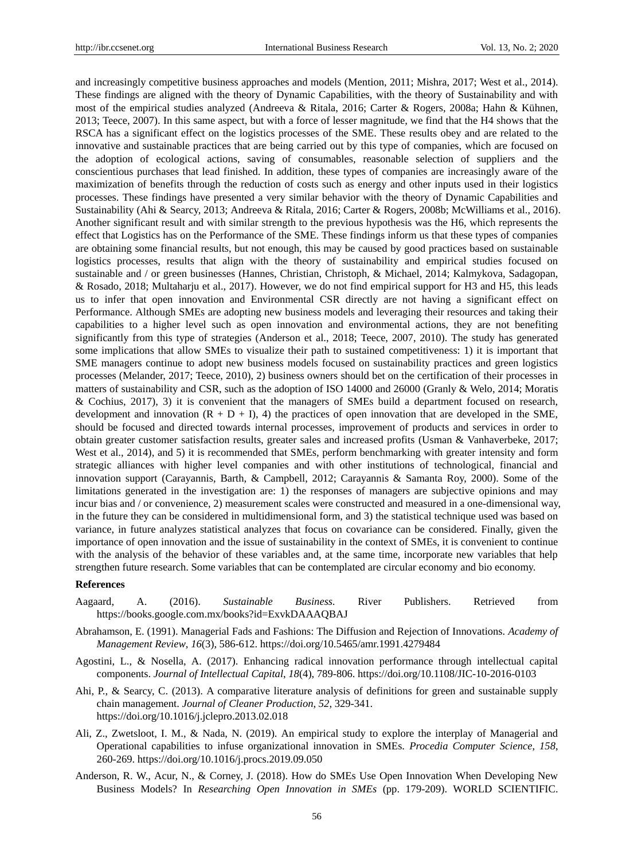and increasingly competitive business approaches and models (Mention, 2011; Mishra, 2017; West et al., 2014). These findings are aligned with the theory of Dynamic Capabilities, with the theory of Sustainability and with most of the empirical studies analyzed (Andreeva & Ritala, 2016; Carter & Rogers, 2008a; Hahn & Kühnen, 2013; Teece, 2007). In this same aspect, but with a force of lesser magnitude, we find that the H4 shows that the RSCA has a significant effect on the logistics processes of the SME. These results obey and are related to the innovative and sustainable practices that are being carried out by this type of companies, which are focused on the adoption of ecological actions, saving of consumables, reasonable selection of suppliers and the conscientious purchases that lead finished. In addition, these types of companies are increasingly aware of the maximization of benefits through the reduction of costs such as energy and other inputs used in their logistics processes. These findings have presented a very similar behavior with the theory of Dynamic Capabilities and Sustainability (Ahi & Searcy, 2013; Andreeva & Ritala, 2016; Carter & Rogers, 2008b; McWilliams et al., 2016). Another significant result and with similar strength to the previous hypothesis was the H6, which represents the effect that Logistics has on the Performance of the SME. These findings inform us that these types of companies are obtaining some financial results, but not enough, this may be caused by good practices based on sustainable logistics processes, results that align with the theory of sustainability and empirical studies focused on sustainable and / or green businesses (Hannes, Christian, Christoph, & Michael, 2014; Kalmykova, Sadagopan, & Rosado, 2018; Multaharju et al., 2017). However, we do not find empirical support for H3 and H5, this leads us to infer that open innovation and Environmental CSR directly are not having a significant effect on Performance. Although SMEs are adopting new business models and leveraging their resources and taking their capabilities to a higher level such as open innovation and environmental actions, they are not benefiting significantly from this type of strategies (Anderson et al., 2018; Teece, 2007, 2010). The study has generated some implications that allow SMEs to visualize their path to sustained competitiveness: 1) it is important that SME managers continue to adopt new business models focused on sustainability practices and green logistics processes (Melander, 2017; Teece, 2010), 2) business owners should bet on the certification of their processes in matters of sustainability and CSR, such as the adoption of ISO 14000 and 26000 (Granly & Welo, 2014; Moratis & Cochius, 2017), 3) it is convenient that the managers of SMEs build a department focused on research, development and innovation  $(R + D + I)$ , 4) the practices of open innovation that are developed in the SME, should be focused and directed towards internal processes, improvement of products and services in order to obtain greater customer satisfaction results, greater sales and increased profits (Usman & Vanhaverbeke, 2017; West et al., 2014), and 5) it is recommended that SMEs, perform benchmarking with greater intensity and form strategic alliances with higher level companies and with other institutions of technological, financial and innovation support (Carayannis, Barth, & Campbell, 2012; Carayannis & Samanta Roy, 2000). Some of the limitations generated in the investigation are: 1) the responses of managers are subjective opinions and may incur bias and / or convenience, 2) measurement scales were constructed and measured in a one-dimensional way, in the future they can be considered in multidimensional form, and 3) the statistical technique used was based on variance, in future analyzes statistical analyzes that focus on covariance can be considered. Finally, given the importance of open innovation and the issue of sustainability in the context of SMEs, it is convenient to continue with the analysis of the behavior of these variables and, at the same time, incorporate new variables that help strengthen future research. Some variables that can be contemplated are circular economy and bio economy.

#### **References**

- Aagaard, A. (2016). *Sustainable Business.* River Publishers. Retrieved from https://books.google.com.mx/books?id=ExvkDAAAQBAJ
- Abrahamson, E. (1991). Managerial Fads and Fashions: The Diffusion and Rejection of Innovations. *Academy of Management Review*, *16*(3), 586-612. https://doi.org/10.5465/amr.1991.4279484
- Agostini, L., & Nosella, A. (2017). Enhancing radical innovation performance through intellectual capital components. *Journal of Intellectual Capital*, *18*(4), 789-806. https://doi.org/10.1108/JIC-10-2016-0103
- Ahi, P., & Searcy, C. (2013). A comparative literature analysis of definitions for green and sustainable supply chain management. *Journal of Cleaner Production*, *52*, 329-341. https://doi.org/10.1016/j.jclepro.2013.02.018
- Ali, Z., Zwetsloot, I. M., & Nada, N. (2019). An empirical study to explore the interplay of Managerial and Operational capabilities to infuse organizational innovation in SMEs. *Procedia Computer Science*, *158*, 260-269. https://doi.org/10.1016/j.procs.2019.09.050
- Anderson, R. W., Acur, N., & Corney, J. (2018). How do SMEs Use Open Innovation When Developing New Business Models? In *Researching Open Innovation in SMEs* (pp. 179-209). WORLD SCIENTIFIC.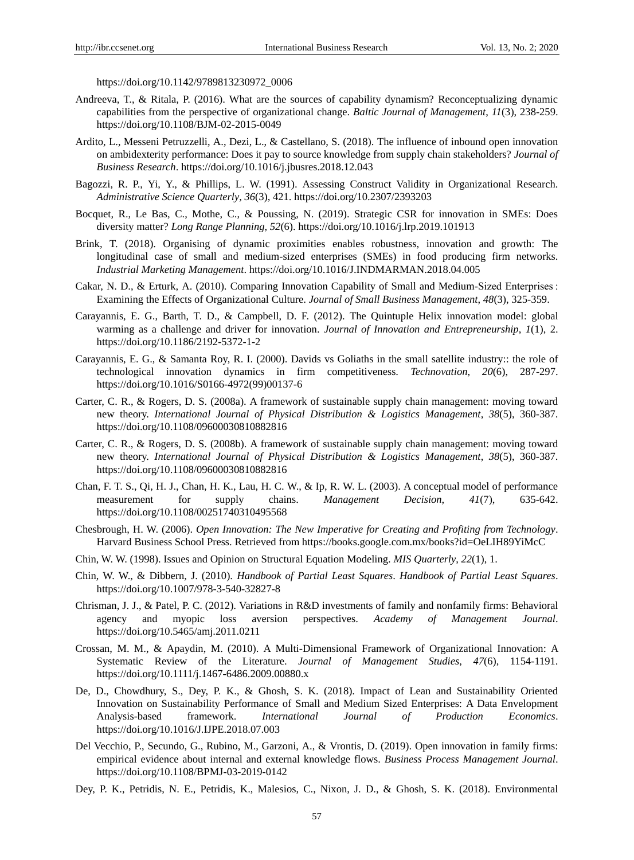https://doi.org/10.1142/9789813230972\_0006

- Andreeva, T., & Ritala, P. (2016). What are the sources of capability dynamism? Reconceptualizing dynamic capabilities from the perspective of organizational change. *Baltic Journal of Management*, *11*(3), 238-259. https://doi.org/10.1108/BJM-02-2015-0049
- Ardito, L., Messeni Petruzzelli, A., Dezi, L., & Castellano, S. (2018). The influence of inbound open innovation on ambidexterity performance: Does it pay to source knowledge from supply chain stakeholders? *Journal of Business Research*. https://doi.org/10.1016/j.jbusres.2018.12.043
- Bagozzi, R. P., Yi, Y., & Phillips, L. W. (1991). Assessing Construct Validity in Organizational Research. *Administrative Science Quarterly*, *36*(3), 421. https://doi.org/10.2307/2393203
- Bocquet, R., Le Bas, C., Mothe, C., & Poussing, N. (2019). Strategic CSR for innovation in SMEs: Does diversity matter? *Long Range Planning*, *52*(6). https://doi.org/10.1016/j.lrp.2019.101913
- Brink, T. (2018). Organising of dynamic proximities enables robustness, innovation and growth: The longitudinal case of small and medium-sized enterprises (SMEs) in food producing firm networks. *Industrial Marketing Management*. https://doi.org/10.1016/J.INDMARMAN.2018.04.005
- Cakar, N. D., & Erturk, A. (2010). Comparing Innovation Capability of Small and Medium-Sized Enterprises : Examining the Effects of Organizational Culture. *Journal of Small Business Management*, *48*(3), 325-359.
- Carayannis, E. G., Barth, T. D., & Campbell, D. F. (2012). The Quintuple Helix innovation model: global warming as a challenge and driver for innovation. *Journal of Innovation and Entrepreneurship*, *1*(1), 2. https://doi.org/10.1186/2192-5372-1-2
- Carayannis, E. G., & Samanta Roy, R. I. (2000). Davids vs Goliaths in the small satellite industry:: the role of technological innovation dynamics in firm competitiveness. *Technovation*, *20*(6), 287-297. https://doi.org/10.1016/S0166-4972(99)00137-6
- Carter, C. R., & Rogers, D. S. (2008a). A framework of sustainable supply chain management: moving toward new theory. *International Journal of Physical Distribution & Logistics Management*, *38*(5), 360-387. https://doi.org/10.1108/09600030810882816
- Carter, C. R., & Rogers, D. S. (2008b). A framework of sustainable supply chain management: moving toward new theory. *International Journal of Physical Distribution & Logistics Management*, *38*(5), 360-387. https://doi.org/10.1108/09600030810882816
- Chan, F. T. S., Qi, H. J., Chan, H. K., Lau, H. C. W., & Ip, R. W. L. (2003). A conceptual model of performance measurement for supply chains. *Management Decision*, *41*(7), 635-642. https://doi.org/10.1108/00251740310495568
- Chesbrough, H. W. (2006). *Open Innovation: The New Imperative for Creating and Profiting from Technology*. Harvard Business School Press. Retrieved from https://books.google.com.mx/books?id=OeLIH89YiMcC
- Chin, W. W. (1998). Issues and Opinion on Structural Equation Modeling. *MIS Quarterly*, *22*(1), 1.
- Chin, W. W., & Dibbern, J. (2010). *Handbook of Partial Least Squares*. *Handbook of Partial Least Squares*. https://doi.org/10.1007/978-3-540-32827-8
- Chrisman, J. J., & Patel, P. C. (2012). Variations in R&D investments of family and nonfamily firms: Behavioral agency and myopic loss aversion perspectives. *Academy of Management Journal*. https://doi.org/10.5465/amj.2011.0211
- Crossan, M. M., & Apaydin, M. (2010). A Multi-Dimensional Framework of Organizational Innovation: A Systematic Review of the Literature. *Journal of Management Studies*, *47*(6), 1154-1191. https://doi.org/10.1111/j.1467-6486.2009.00880.x
- De, D., Chowdhury, S., Dey, P. K., & Ghosh, S. K. (2018). Impact of Lean and Sustainability Oriented Innovation on Sustainability Performance of Small and Medium Sized Enterprises: A Data Envelopment Analysis-based framework. *International Journal of Production Economics*. https://doi.org/10.1016/J.IJPE.2018.07.003
- Del Vecchio, P., Secundo, G., Rubino, M., Garzoni, A., & Vrontis, D. (2019). Open innovation in family firms: empirical evidence about internal and external knowledge flows. *Business Process Management Journal*. https://doi.org/10.1108/BPMJ-03-2019-0142
- Dey, P. K., Petridis, N. E., Petridis, K., Malesios, C., Nixon, J. D., & Ghosh, S. K. (2018). Environmental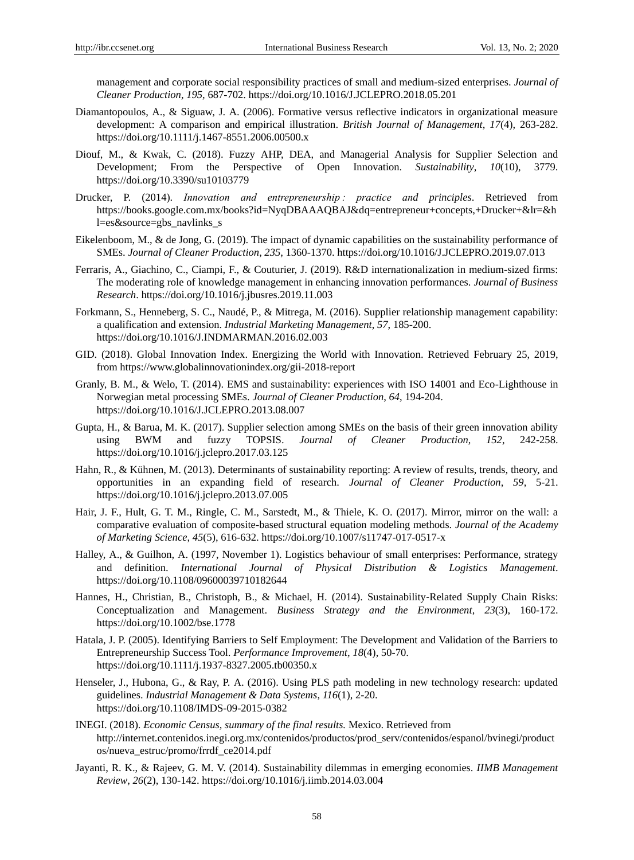management and corporate social responsibility practices of small and medium-sized enterprises. *Journal of Cleaner Production*, *195*, 687-702. https://doi.org/10.1016/J.JCLEPRO.2018.05.201

- Diamantopoulos, A., & Siguaw, J. A. (2006). Formative versus reflective indicators in organizational measure development: A comparison and empirical illustration. *British Journal of Management*, *17*(4), 263-282. https://doi.org/10.1111/j.1467-8551.2006.00500.x
- Diouf, M., & Kwak, C. (2018). Fuzzy AHP, DEA, and Managerial Analysis for Supplier Selection and Development; From the Perspective of Open Innovation. *Sustainability*, *10*(10), 3779. https://doi.org/10.3390/su10103779
- Drucker, P. (2014). *Innovation and entrepreneurship : practice and principles*. Retrieved from https://books.google.com.mx/books?id=NyqDBAAAQBAJ&dq=entrepreneur+concepts,+Drucker+&lr=&h l=es&source=gbs\_navlinks\_s
- Eikelenboom, M., & de Jong, G. (2019). The impact of dynamic capabilities on the sustainability performance of SMEs. *Journal of Cleaner Production*, *235*, 1360-1370. https://doi.org/10.1016/J.JCLEPRO.2019.07.013
- Ferraris, A., Giachino, C., Ciampi, F., & Couturier, J. (2019). R&D internationalization in medium-sized firms: The moderating role of knowledge management in enhancing innovation performances. *Journal of Business Research*. https://doi.org/10.1016/j.jbusres.2019.11.003
- Forkmann, S., Henneberg, S. C., Naudé, P., & Mitrega, M. (2016). Supplier relationship management capability: a qualification and extension. *Industrial Marketing Management*, *57*, 185-200. https://doi.org/10.1016/J.INDMARMAN.2016.02.003
- GID. (2018). Global Innovation Index. Energizing the World with Innovation. Retrieved February 25, 2019, from https://www.globalinnovationindex.org/gii-2018-report
- Granly, B. M., & Welo, T. (2014). EMS and sustainability: experiences with ISO 14001 and Eco-Lighthouse in Norwegian metal processing SMEs. *Journal of Cleaner Production*, *64*, 194-204. https://doi.org/10.1016/J.JCLEPRO.2013.08.007
- Gupta, H., & Barua, M. K. (2017). Supplier selection among SMEs on the basis of their green innovation ability using BWM and fuzzy TOPSIS. *Journal of Cleaner Production*, *152*, 242-258. https://doi.org/10.1016/j.jclepro.2017.03.125
- Hahn, R., & Kühnen, M. (2013). Determinants of sustainability reporting: A review of results, trends, theory, and opportunities in an expanding field of research. *Journal of Cleaner Production*, *59*, 5-21. https://doi.org/10.1016/j.jclepro.2013.07.005
- Hair, J. F., Hult, G. T. M., Ringle, C. M., Sarstedt, M., & Thiele, K. O. (2017). Mirror, mirror on the wall: a comparative evaluation of composite-based structural equation modeling methods. *Journal of the Academy of Marketing Science*, *45*(5), 616-632. https://doi.org/10.1007/s11747-017-0517-x
- Halley, A., & Guilhon, A. (1997, November 1). Logistics behaviour of small enterprises: Performance, strategy and definition. *International Journal of Physical Distribution & Logistics Management*. https://doi.org/10.1108/09600039710182644
- Hannes, H., Christian, B., Christoph, B., & Michael, H. (2014). Sustainability-Related Supply Chain Risks: Conceptualization and Management. *Business Strategy and the Environment*, *23*(3), 160-172. https://doi.org/10.1002/bse.1778
- Hatala, J. P. (2005). Identifying Barriers to Self Employment: The Development and Validation of the Barriers to Entrepreneurship Success Tool. *Performance Improvement*, *18*(4), 50-70. https://doi.org/10.1111/j.1937-8327.2005.tb00350.x
- Henseler, J., Hubona, G., & Ray, P. A. (2016). Using PLS path modeling in new technology research: updated guidelines. *Industrial Management & Data Systems*, *116*(1), 2-20. https://doi.org/10.1108/IMDS-09-2015-0382
- INEGI. (2018). *Economic Census, summary of the final results.* Mexico. Retrieved from http://internet.contenidos.inegi.org.mx/contenidos/productos/prod\_serv/contenidos/espanol/bvinegi/product os/nueva\_estruc/promo/frrdf\_ce2014.pdf
- Jayanti, R. K., & Rajeev, G. M. V. (2014). Sustainability dilemmas in emerging economies. *IIMB Management Review*, *26*(2), 130-142. https://doi.org/10.1016/j.iimb.2014.03.004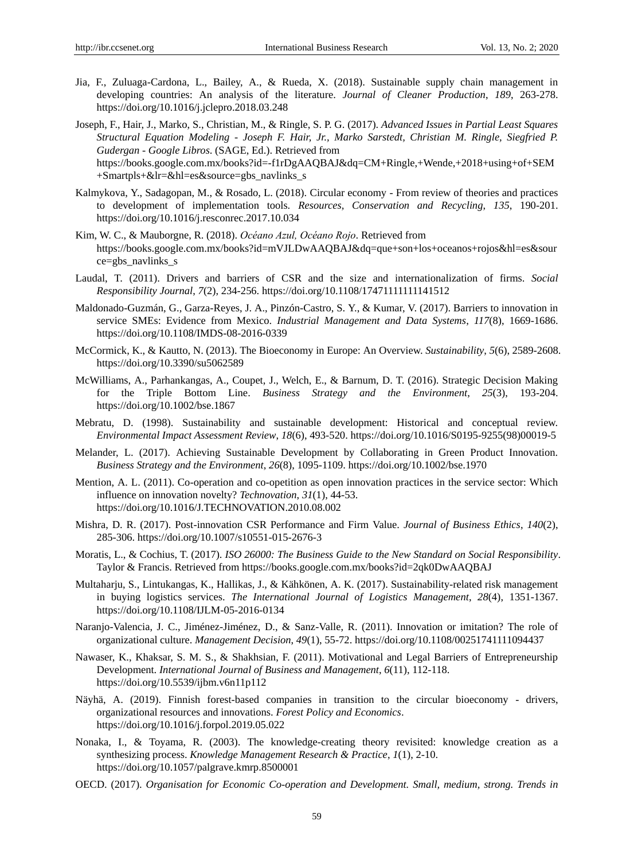- Jia, F., Zuluaga-Cardona, L., Bailey, A., & Rueda, X. (2018). Sustainable supply chain management in developing countries: An analysis of the literature. *Journal of Cleaner Production*, *189*, 263-278. https://doi.org/10.1016/j.jclepro.2018.03.248
- Joseph, F., Hair, J., Marko, S., Christian, M., & Ringle, S. P. G. (2017). *Advanced Issues in Partial Least Squares Structural Equation Modeling - Joseph F. Hair, Jr., Marko Sarstedt, Christian M. Ringle, Siegfried P. Gudergan - Google Libros*. (SAGE, Ed.). Retrieved from https://books.google.com.mx/books?id=-f1rDgAAQBAJ&dq=CM+Ringle,+Wende,+2018+using+of+SEM +Smartpls+&lr=&hl=es&source=gbs\_navlinks\_s
- Kalmykova, Y., Sadagopan, M., & Rosado, L. (2018). Circular economy From review of theories and practices to development of implementation tools. *Resources, Conservation and Recycling*, *135*, 190-201. https://doi.org/10.1016/j.resconrec.2017.10.034
- Kim, W. C., & Mauborgne, R. (2018). *Océano Azul, Océano Rojo*. Retrieved from https://books.google.com.mx/books?id=mVJLDwAAQBAJ&dq=que+son+los+oceanos+rojos&hl=es&sour ce=gbs\_navlinks\_s
- Laudal, T. (2011). Drivers and barriers of CSR and the size and internationalization of firms. *Social Responsibility Journal*, *7*(2), 234-256. https://doi.org/10.1108/17471111111141512
- Maldonado-Guzmán, G., Garza-Reyes, J. A., Pinzón-Castro, S. Y., & Kumar, V. (2017). Barriers to innovation in service SMEs: Evidence from Mexico. *Industrial Management and Data Systems*, *117*(8), 1669-1686. https://doi.org/10.1108/IMDS-08-2016-0339
- McCormick, K., & Kautto, N. (2013). The Bioeconomy in Europe: An Overview. *Sustainability*, *5*(6), 2589-2608. https://doi.org/10.3390/su5062589
- McWilliams, A., Parhankangas, A., Coupet, J., Welch, E., & Barnum, D. T. (2016). Strategic Decision Making for the Triple Bottom Line. *Business Strategy and the Environment*, *25*(3), 193-204. https://doi.org/10.1002/bse.1867
- Mebratu, D. (1998). Sustainability and sustainable development: Historical and conceptual review. *Environmental Impact Assessment Review*, *18*(6), 493-520. https://doi.org/10.1016/S0195-9255(98)00019-5
- Melander, L. (2017). Achieving Sustainable Development by Collaborating in Green Product Innovation. *Business Strategy and the Environment*, *26*(8), 1095-1109. https://doi.org/10.1002/bse.1970
- Mention, A. L. (2011). Co-operation and co-opetition as open innovation practices in the service sector: Which influence on innovation novelty? *Technovation*, *31*(1), 44-53. https://doi.org/10.1016/J.TECHNOVATION.2010.08.002
- Mishra, D. R. (2017). Post-innovation CSR Performance and Firm Value. *Journal of Business Ethics*, *140*(2), 285-306. https://doi.org/10.1007/s10551-015-2676-3
- Moratis, L., & Cochius, T. (2017). *ISO 26000: The Business Guide to the New Standard on Social Responsibility*. Taylor & Francis. Retrieved from https://books.google.com.mx/books?id=2qk0DwAAQBAJ
- Multaharju, S., Lintukangas, K., Hallikas, J., & Kähkönen, A. K. (2017). Sustainability-related risk management in buying logistics services. *The International Journal of Logistics Management*, *28*(4), 1351-1367. https://doi.org/10.1108/IJLM-05-2016-0134
- Naranjo-Valencia, J. C., Jiménez-Jiménez, D., & Sanz-Valle, R. (2011). Innovation or imitation? The role of organizational culture. *Management Decision*, *49*(1), 55-72. https://doi.org/10.1108/00251741111094437
- Nawaser, K., Khaksar, S. M. S., & Shakhsian, F. (2011). Motivational and Legal Barriers of Entrepreneurship Development. *International Journal of Business and Management*, *6*(11), 112-118. https://doi.org/10.5539/ijbm.v6n11p112
- Näyhä, A. (2019). Finnish forest-based companies in transition to the circular bioeconomy drivers, organizational resources and innovations. *Forest Policy and Economics*. https://doi.org/10.1016/j.forpol.2019.05.022
- Nonaka, I., & Toyama, R. (2003). The knowledge-creating theory revisited: knowledge creation as a synthesizing process. *Knowledge Management Research & Practice*, *1*(1), 2-10. https://doi.org/10.1057/palgrave.kmrp.8500001
- OECD. (2017). *Organisation for Economic Co-operation and Development. Small, medium, strong. Trends in*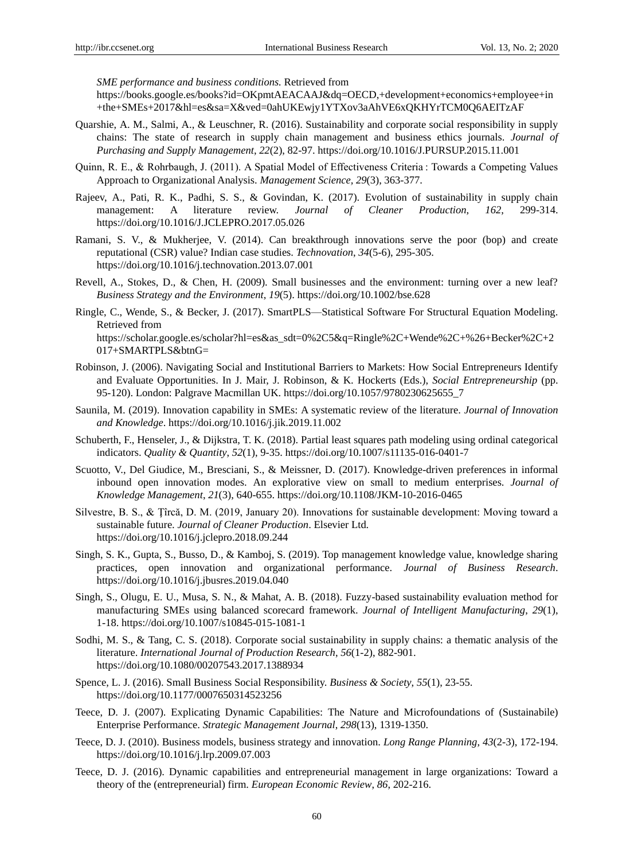*SME performance and business conditions.* Retrieved from

https://books.google.es/books?id=OKpmtAEACAAJ&dq=OECD,+development+economics+employee+in +the+SMEs+2017&hl=es&sa=X&ved=0ahUKEwjy1YTXov3aAhVE6xQKHYrTCM0Q6AEITzAF

- Quarshie, A. M., Salmi, A., & Leuschner, R. (2016). Sustainability and corporate social responsibility in supply chains: The state of research in supply chain management and business ethics journals. *Journal of Purchasing and Supply Management*, *22*(2), 82-97. https://doi.org/10.1016/J.PURSUP.2015.11.001
- Quinn, R. E., & Rohrbaugh, J. (2011). A Spatial Model of Effectiveness Criteria : Towards a Competing Values Approach to Organizational Analysis. *Management Science, 29*(3), 363-377.
- Rajeev, A., Pati, R. K., Padhi, S. S., & Govindan, K. (2017). Evolution of sustainability in supply chain management: A literature review. *Journal of Cleaner Production*, *162*, 299-314. https://doi.org/10.1016/J.JCLEPRO.2017.05.026
- Ramani, S. V., & Mukherjee, V. (2014). Can breakthrough innovations serve the poor (bop) and create reputational (CSR) value? Indian case studies. *Technovation*, *34*(5-6), 295-305. https://doi.org/10.1016/j.technovation.2013.07.001
- Revell, A., Stokes, D., & Chen, H. (2009). Small businesses and the environment: turning over a new leaf? *Business Strategy and the Environment*, *19*(5). https://doi.org/10.1002/bse.628
- Ringle, C., Wende, S., & Becker, J. (2017). SmartPLS—Statistical Software For Structural Equation Modeling. Retrieved from https://scholar.google.es/scholar?hl=es&as\_sdt=0%2C5&q=Ringle%2C+Wende%2C+%26+Becker%2C+2 017+SMARTPLS&btnG=
- Robinson, J. (2006). Navigating Social and Institutional Barriers to Markets: How Social Entrepreneurs Identify and Evaluate Opportunities. In J. Mair, J. Robinson, & K. Hockerts (Eds.), *Social Entrepreneurship* (pp. 95-120). London: Palgrave Macmillan UK. https://doi.org/10.1057/9780230625655\_7
- Saunila, M. (2019). Innovation capability in SMEs: A systematic review of the literature. *Journal of Innovation and Knowledge*. https://doi.org/10.1016/j.jik.2019.11.002
- Schuberth, F., Henseler, J., & Dijkstra, T. K. (2018). Partial least squares path modeling using ordinal categorical indicators. *Quality & Quantity*, *52*(1), 9-35. https://doi.org/10.1007/s11135-016-0401-7
- Scuotto, V., Del Giudice, M., Bresciani, S., & Meissner, D. (2017). Knowledge-driven preferences in informal inbound open innovation modes. An explorative view on small to medium enterprises. *Journal of Knowledge Management*, *21*(3), 640-655. https://doi.org/10.1108/JKM-10-2016-0465
- Silvestre, B. S., & Ţîrcă, D. M. (2019, January 20). Innovations for sustainable development: Moving toward a sustainable future. *Journal of Cleaner Production*. Elsevier Ltd. https://doi.org/10.1016/j.jclepro.2018.09.244
- Singh, S. K., Gupta, S., Busso, D., & Kamboj, S. (2019). Top management knowledge value, knowledge sharing practices, open innovation and organizational performance. *Journal of Business Research*. https://doi.org/10.1016/j.jbusres.2019.04.040
- Singh, S., Olugu, E. U., Musa, S. N., & Mahat, A. B. (2018). Fuzzy-based sustainability evaluation method for manufacturing SMEs using balanced scorecard framework. *Journal of Intelligent Manufacturing*, *29*(1), 1-18. https://doi.org/10.1007/s10845-015-1081-1
- Sodhi, M. S., & Tang, C. S. (2018). Corporate social sustainability in supply chains: a thematic analysis of the literature. *International Journal of Production Research*, *56*(1-2), 882-901. https://doi.org/10.1080/00207543.2017.1388934
- Spence, L. J. (2016). Small Business Social Responsibility. *Business & Society*, *55*(1), 23-55. https://doi.org/10.1177/0007650314523256
- Teece, D. J. (2007). Explicating Dynamic Capabilities: The Nature and Microfoundations of (Sustainabile) Enterprise Performance. *Strategic Management Journal*, *298*(13), 1319-1350.
- Teece, D. J. (2010). Business models, business strategy and innovation. *Long Range Planning*, *43*(2-3), 172-194. https://doi.org/10.1016/j.lrp.2009.07.003
- Teece, D. J. (2016). Dynamic capabilities and entrepreneurial management in large organizations: Toward a theory of the (entrepreneurial) firm. *European Economic Review*, *86*, 202-216.